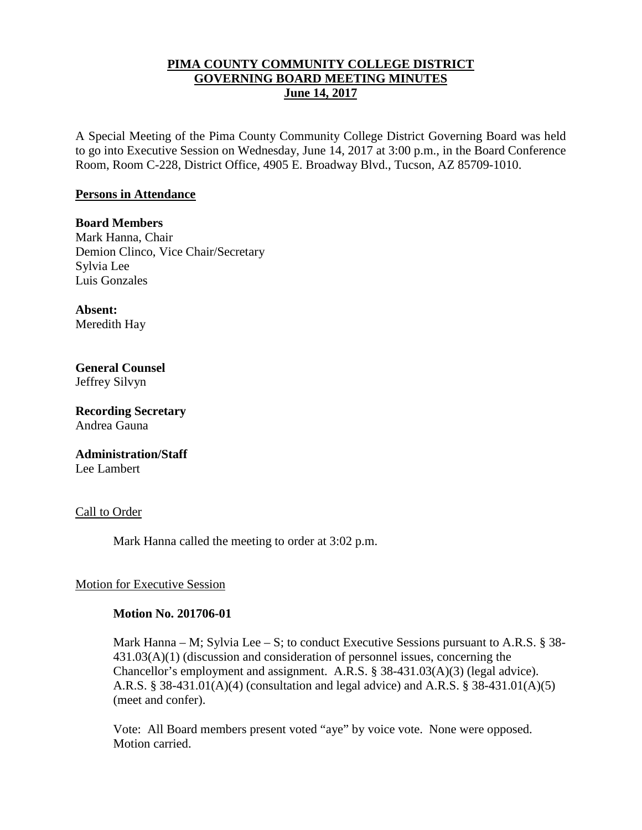## **PIMA COUNTY COMMUNITY COLLEGE DISTRICT GOVERNING BOARD MEETING MINUTES June 14, 2017**

A Special Meeting of the Pima County Community College District Governing Board was held to go into Executive Session on Wednesday, June 14, 2017 at 3:00 p.m., in the Board Conference Room, Room C-228, District Office, 4905 E. Broadway Blvd., Tucson, AZ 85709-1010.

### **Persons in Attendance**

**Board Members** Mark Hanna, Chair Demion Clinco, Vice Chair/Secretary Sylvia Lee Luis Gonzales

**Absent:** Meredith Hay

**General Counsel**  Jeffrey Silvyn

**Recording Secretary** Andrea Gauna

**Administration/Staff** Lee Lambert

Call to Order

Mark Hanna called the meeting to order at 3:02 p.m.

## Motion for Executive Session

#### **Motion No. 201706-01**

Mark Hanna – M; Sylvia Lee – S; to conduct Executive Sessions pursuant to A.R.S.  $\S$  38-431.03(A)(1) (discussion and consideration of personnel issues, concerning the Chancellor's employment and assignment. A.R.S. § 38-431.03(A)(3) (legal advice). A.R.S. § 38-431.01(A)(4) (consultation and legal advice) and A.R.S. § 38-431.01(A)(5) (meet and confer).

Vote: All Board members present voted "aye" by voice vote. None were opposed. Motion carried.